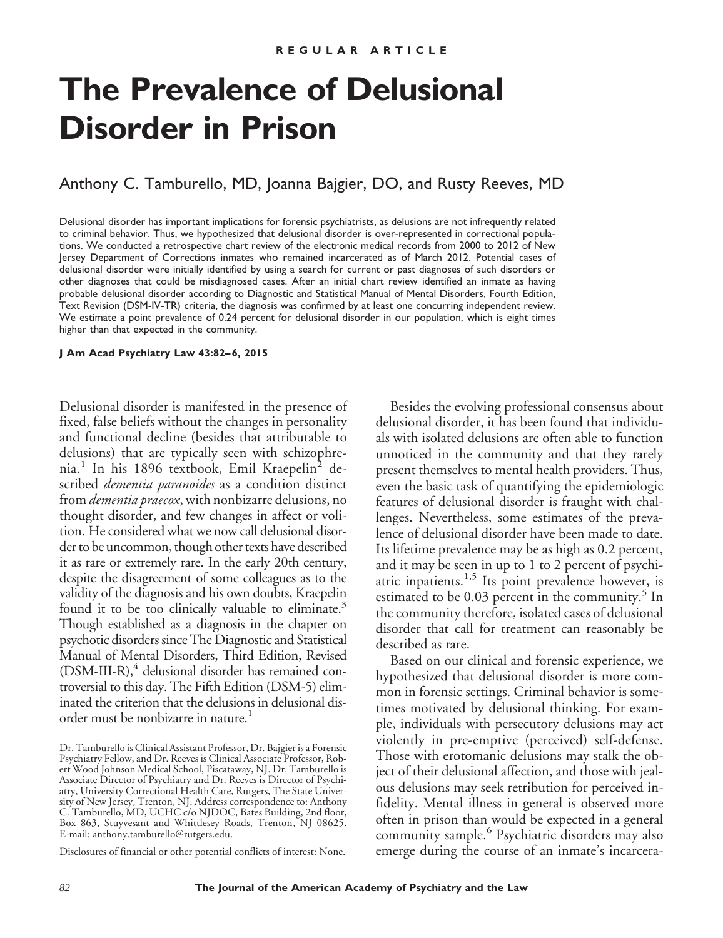# **The Prevalence of Delusional Disorder in Prison**

# Anthony C. Tamburello, MD, Joanna Bajgier, DO, and Rusty Reeves, MD

Delusional disorder has important implications for forensic psychiatrists, as delusions are not infrequently related to criminal behavior. Thus, we hypothesized that delusional disorder is over-represented in correctional populations. We conducted a retrospective chart review of the electronic medical records from 2000 to 2012 of New Jersey Department of Corrections inmates who remained incarcerated as of March 2012. Potential cases of delusional disorder were initially identified by using a search for current or past diagnoses of such disorders or other diagnoses that could be misdiagnosed cases. After an initial chart review identified an inmate as having probable delusional disorder according to Diagnostic and Statistical Manual of Mental Disorders, Fourth Edition, Text Revision (DSM-IV-TR) criteria, the diagnosis was confirmed by at least one concurring independent review. We estimate a point prevalence of 0.24 percent for delusional disorder in our population, which is eight times higher than that expected in the community.

#### **J Am Acad Psychiatry Law 43:82– 6, 2015**

Delusional disorder is manifested in the presence of fixed, false beliefs without the changes in personality and functional decline (besides that attributable to delusions) that are typically seen with schizophrenia.<sup>1</sup> In his 1896 textbook, Emil Kraepelin<sup>2</sup> described *dementia paranoides* as a condition distinct from *dementia praecox*, with nonbizarre delusions, no thought disorder, and few changes in affect or volition. He considered what we now call delusional disorder to be uncommon, though other texts have described it as rare or extremely rare. In the early 20th century, despite the disagreement of some colleagues as to the validity of the diagnosis and his own doubts, Kraepelin found it to be too clinically valuable to eliminate.<sup>3</sup> Though established as a diagnosis in the chapter on psychotic disorders since The Diagnostic and Statistical Manual of Mental Disorders, Third Edition, Revised  $(DSM-III-R)<sup>4</sup>$  delusional disorder has remained controversial to this day. The Fifth Edition (DSM-5) eliminated the criterion that the delusions in delusional disorder must be nonbizarre in nature.<sup>1</sup>

Disclosures of financial or other potential conflicts of interest: None.

Besides the evolving professional consensus about delusional disorder, it has been found that individuals with isolated delusions are often able to function unnoticed in the community and that they rarely present themselves to mental health providers. Thus, even the basic task of quantifying the epidemiologic features of delusional disorder is fraught with challenges. Nevertheless, some estimates of the prevalence of delusional disorder have been made to date. Its lifetime prevalence may be as high as 0.2 percent, and it may be seen in up to 1 to 2 percent of psychiatric inpatients.<sup>1,5</sup> Its point prevalence however, is estimated to be 0.03 percent in the community.<sup>5</sup> In the community therefore, isolated cases of delusional disorder that call for treatment can reasonably be described as rare.

Based on our clinical and forensic experience, we hypothesized that delusional disorder is more common in forensic settings. Criminal behavior is sometimes motivated by delusional thinking. For example, individuals with persecutory delusions may act violently in pre-emptive (perceived) self-defense. Those with erotomanic delusions may stalk the object of their delusional affection, and those with jealous delusions may seek retribution for perceived infidelity. Mental illness in general is observed more often in prison than would be expected in a general community sample.<sup>6</sup> Psychiatric disorders may also emerge during the course of an inmate's incarcera-

Dr. Tamburello is Clinical Assistant Professor, Dr. Bajgier is a Forensic Psychiatry Fellow, and Dr. Reeves is Clinical Associate Professor, Robert Wood Johnson Medical School, Piscataway, NJ. Dr. Tamburello is Associate Director of Psychiatry and Dr. Reeves is Director of Psychiatry, University Correctional Health Care, Rutgers, The State University of New Jersey, Trenton, NJ. Address correspondence to: Anthony C. Tamburello, MD, UCHC c/o NJDOC, Bates Building, 2nd floor, Box 863, Stuyvesant and Whittlesey Roads, Trenton, NJ 08625. E-mail: anthony.tamburello@rutgers.edu.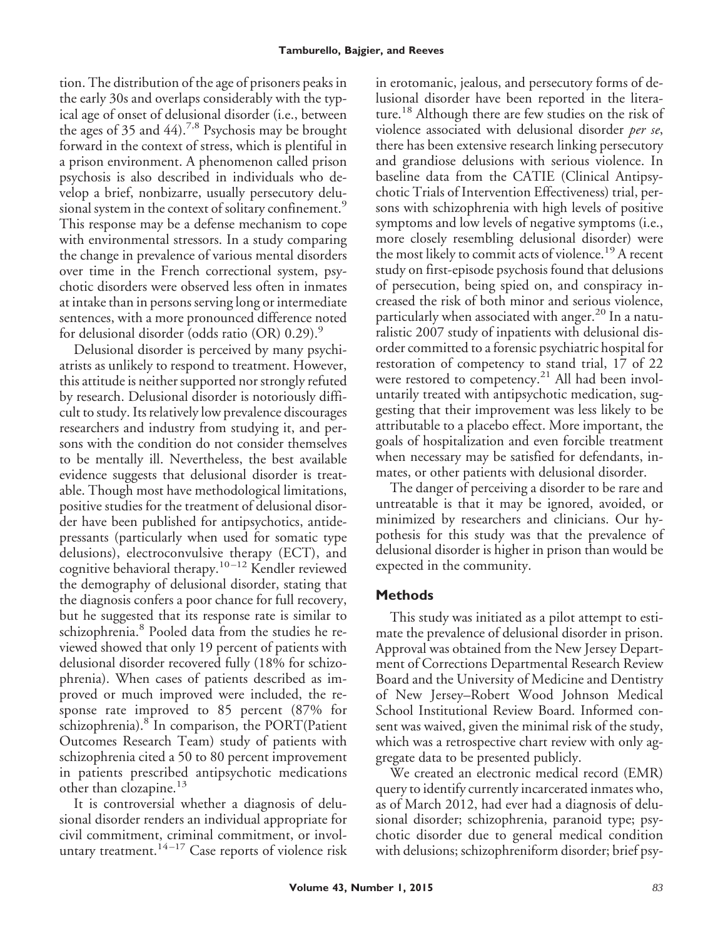tion. The distribution of the age of prisoners peaks in the early 30s and overlaps considerably with the typical age of onset of delusional disorder (i.e., between the ages of 35 and  $44$ ).<sup>7,8</sup> Psychosis may be brought forward in the context of stress, which is plentiful in a prison environment. A phenomenon called prison psychosis is also described in individuals who develop a brief, nonbizarre, usually persecutory delusional system in the context of solitary confinement.<sup>9</sup> This response may be a defense mechanism to cope with environmental stressors. In a study comparing the change in prevalence of various mental disorders over time in the French correctional system, psychotic disorders were observed less often in inmates at intake than in persons serving long or intermediate sentences, with a more pronounced difference noted for delusional disorder (odds ratio (OR)  $0.29$ ).<sup>9</sup>

Delusional disorder is perceived by many psychiatrists as unlikely to respond to treatment. However, this attitude is neither supported nor strongly refuted by research. Delusional disorder is notoriously difficult to study. Its relatively low prevalence discourages researchers and industry from studying it, and persons with the condition do not consider themselves to be mentally ill. Nevertheless, the best available evidence suggests that delusional disorder is treatable. Though most have methodological limitations, positive studies for the treatment of delusional disorder have been published for antipsychotics, antidepressants (particularly when used for somatic type delusions), electroconvulsive therapy (ECT), and cognitive behavioral therapy.<sup>10-12</sup> Kendler reviewed the demography of delusional disorder, stating that the diagnosis confers a poor chance for full recovery, but he suggested that its response rate is similar to schizophrenia.<sup>8</sup> Pooled data from the studies he reviewed showed that only 19 percent of patients with delusional disorder recovered fully (18% for schizophrenia). When cases of patients described as improved or much improved were included, the response rate improved to 85 percent (87% for schizophrenia). $8$  In comparison, the PORT(Patient Outcomes Research Team) study of patients with schizophrenia cited a 50 to 80 percent improvement in patients prescribed antipsychotic medications other than clozapine.<sup>13</sup>

It is controversial whether a diagnosis of delusional disorder renders an individual appropriate for civil commitment, criminal commitment, or involuntary treatment.<sup>14-17</sup> Case reports of violence risk

in erotomanic, jealous, and persecutory forms of delusional disorder have been reported in the literature.<sup>18</sup> Although there are few studies on the risk of violence associated with delusional disorder *per se*, there has been extensive research linking persecutory and grandiose delusions with serious violence. In baseline data from the CATIE (Clinical Antipsychotic Trials of Intervention Effectiveness) trial, persons with schizophrenia with high levels of positive symptoms and low levels of negative symptoms (i.e., more closely resembling delusional disorder) were the most likely to commit acts of violence.<sup>19</sup> A recent study on first-episode psychosis found that delusions of persecution, being spied on, and conspiracy increased the risk of both minor and serious violence, particularly when associated with anger.<sup>20</sup> In a naturalistic 2007 study of inpatients with delusional disorder committed to a forensic psychiatric hospital for restoration of competency to stand trial, 17 of 22 were restored to competency.<sup>21</sup> All had been involuntarily treated with antipsychotic medication, suggesting that their improvement was less likely to be attributable to a placebo effect. More important, the goals of hospitalization and even forcible treatment when necessary may be satisfied for defendants, inmates, or other patients with delusional disorder.

The danger of perceiving a disorder to be rare and untreatable is that it may be ignored, avoided, or minimized by researchers and clinicians. Our hypothesis for this study was that the prevalence of delusional disorder is higher in prison than would be expected in the community.

## **Methods**

This study was initiated as a pilot attempt to estimate the prevalence of delusional disorder in prison. Approval was obtained from the New Jersey Department of Corrections Departmental Research Review Board and the University of Medicine and Dentistry of New Jersey–Robert Wood Johnson Medical School Institutional Review Board. Informed consent was waived, given the minimal risk of the study, which was a retrospective chart review with only aggregate data to be presented publicly.

We created an electronic medical record (EMR) query to identify currently incarcerated inmates who, as of March 2012, had ever had a diagnosis of delusional disorder; schizophrenia, paranoid type; psychotic disorder due to general medical condition with delusions; schizophreniform disorder; brief psy-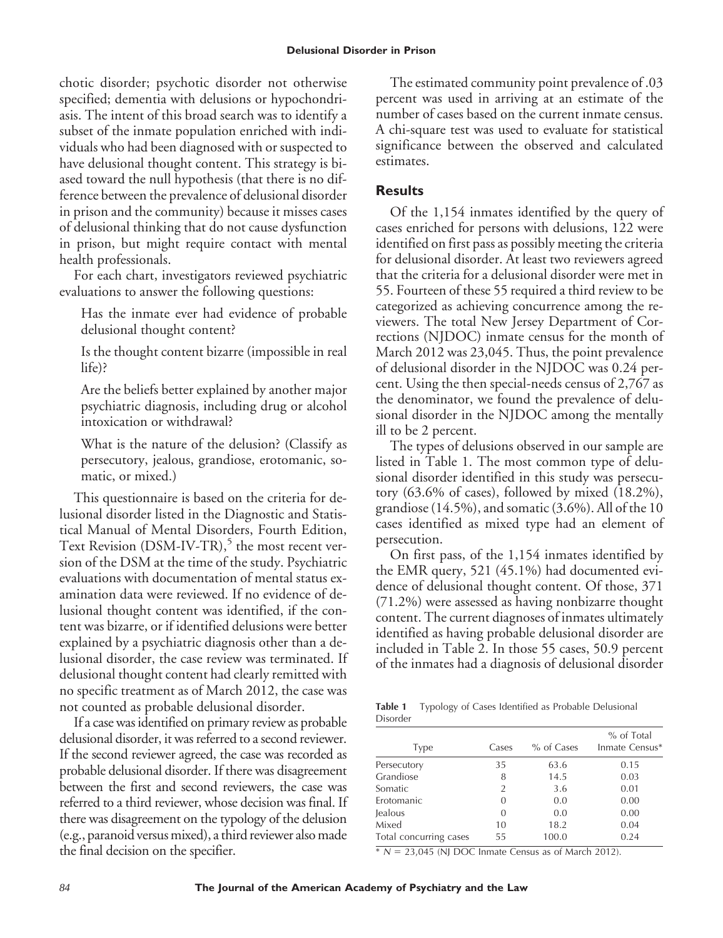chotic disorder; psychotic disorder not otherwise specified; dementia with delusions or hypochondriasis. The intent of this broad search was to identify a subset of the inmate population enriched with individuals who had been diagnosed with or suspected to have delusional thought content. This strategy is biased toward the null hypothesis (that there is no difference between the prevalence of delusional disorder in prison and the community) because it misses cases of delusional thinking that do not cause dysfunction in prison, but might require contact with mental health professionals.

For each chart, investigators reviewed psychiatric evaluations to answer the following questions:

Has the inmate ever had evidence of probable delusional thought content?

Is the thought content bizarre (impossible in real life)?

Are the beliefs better explained by another major psychiatric diagnosis, including drug or alcohol intoxication or withdrawal?

What is the nature of the delusion? (Classify as persecutory, jealous, grandiose, erotomanic, somatic, or mixed.)

This questionnaire is based on the criteria for delusional disorder listed in the Diagnostic and Statistical Manual of Mental Disorders, Fourth Edition, Text Revision  $(DSM-IV-TR)$ ,<sup>5</sup> the most recent version of the DSM at the time of the study. Psychiatric evaluations with documentation of mental status examination data were reviewed. If no evidence of delusional thought content was identified, if the content was bizarre, or if identified delusions were better explained by a psychiatric diagnosis other than a delusional disorder, the case review was terminated. If delusional thought content had clearly remitted with no specific treatment as of March 2012, the case was not counted as probable delusional disorder.

If a case was identified on primary review as probable delusional disorder, it was referred to a second reviewer. If the second reviewer agreed, the case was recorded as probable delusional disorder. If there was disagreement between the first and second reviewers, the case was referred to a third reviewer, whose decision was final. If there was disagreement on the typology of the delusion (e.g., paranoid versus mixed), a third reviewer also made the final decision on the specifier.

The estimated community point prevalence of .03 percent was used in arriving at an estimate of the number of cases based on the current inmate census. A chi-square test was used to evaluate for statistical significance between the observed and calculated estimates.

## **Results**

Of the 1,154 inmates identified by the query of cases enriched for persons with delusions, 122 were identified on first pass as possibly meeting the criteria for delusional disorder. At least two reviewers agreed that the criteria for a delusional disorder were met in 55. Fourteen of these 55 required a third review to be categorized as achieving concurrence among the reviewers. The total New Jersey Department of Corrections (NJDOC) inmate census for the month of March 2012 was 23,045. Thus, the point prevalence of delusional disorder in the NJDOC was 0.24 percent. Using the then special-needs census of 2,767 as the denominator, we found the prevalence of delusional disorder in the NJDOC among the mentally ill to be 2 percent.

The types of delusions observed in our sample are listed in Table 1. The most common type of delusional disorder identified in this study was persecutory (63.6% of cases), followed by mixed (18.2%), grandiose (14.5%), and somatic (3.6%). All of the 10 cases identified as mixed type had an element of persecution.

On first pass, of the 1,154 inmates identified by the EMR query, 521 (45.1%) had documented evidence of delusional thought content. Of those, 371 (71.2%) were assessed as having nonbizarre thought content. The current diagnoses of inmates ultimately identified as having probable delusional disorder are included in Table 2. In those 55 cases, 50.9 percent of the inmates had a diagnosis of delusional disorder

**Table 1** Typology of Cases Identified as Probable Delusional Disorder

| Type                   | Cases    | % of Cases | % of Total<br>Inmate Census* |
|------------------------|----------|------------|------------------------------|
| Persecutory            | 35       | 63.6       | 0.15                         |
| Grandiose              | 8        | 14.5       | 0.03                         |
| Somatic                | 2        | 3.6        | 0.01                         |
| Erotomanic             | 0        | 0.0        | 0.00                         |
| <b>Jealous</b>         | $\Omega$ | 0.0        | 0.00                         |
| Mixed                  | 10       | 18.2       | 0.04                         |
| Total concurring cases | 55       | 100.0      | 0.24                         |
|                        |          |            |                              |

 $N = 23,045$  (NJ DOC Inmate Census as of March 2012).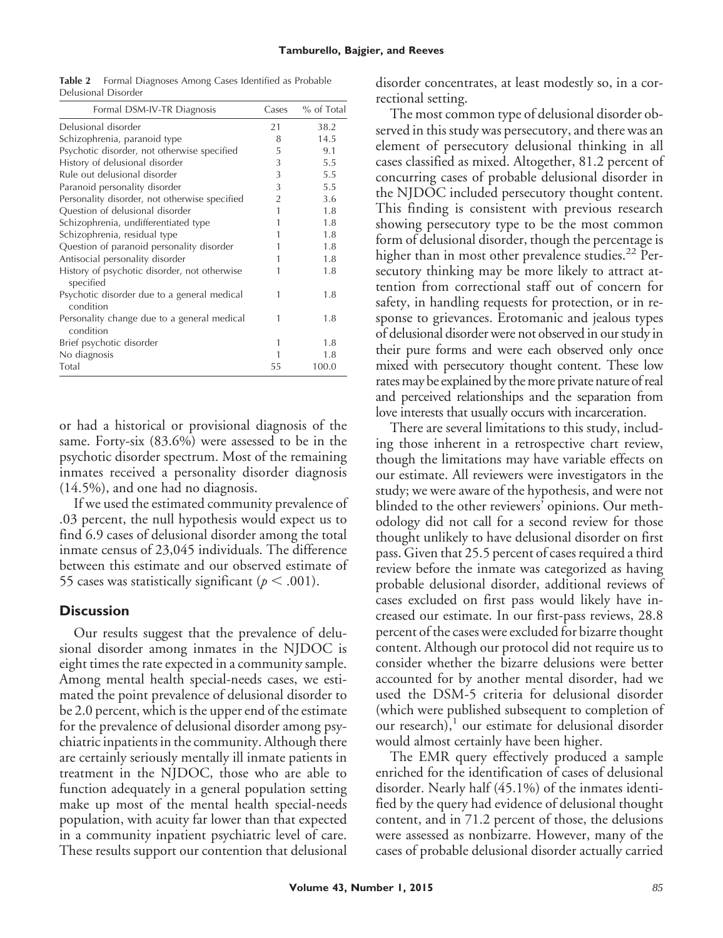| Table 2             | Formal Diagnoses Among Cases Identified as Probable |
|---------------------|-----------------------------------------------------|
| Delusional Disorder |                                                     |

| Formal DSM-IV-TR Diagnosis                                | Cases          | % of Total |
|-----------------------------------------------------------|----------------|------------|
| Delusional disorder                                       | 21             | 38.2       |
| Schizophrenia, paranoid type                              | 8              | 14.5       |
| Psychotic disorder, not otherwise specified               | 5              | 9.1        |
| History of delusional disorder                            | 3              | 5.5        |
| Rule out delusional disorder                              | 3              | 5.5        |
| Paranoid personality disorder                             | 3              | 5.5        |
| Personality disorder, not otherwise specified             | $\overline{2}$ | 3.6        |
| Question of delusional disorder                           | 1              | 1.8        |
| Schizophrenia, undifferentiated type                      |                | 1.8        |
| Schizophrenia, residual type                              | 1              | 1.8        |
| Question of paranoid personality disorder                 |                | 1.8        |
| Antisocial personality disorder                           |                | 1.8        |
| History of psychotic disorder, not otherwise<br>specified |                | 1.8        |
| Psychotic disorder due to a general medical<br>condition  | 1              | 1.8        |
| Personality change due to a general medical<br>condition  |                | 1.8        |
| Brief psychotic disorder                                  | 1              | 1.8        |
| No diagnosis                                              |                | 1.8        |
| Total                                                     | 55             | 100.0      |

or had a historical or provisional diagnosis of the same. Forty-six (83.6%) were assessed to be in the psychotic disorder spectrum. Most of the remaining inmates received a personality disorder diagnosis (14.5%), and one had no diagnosis.

If we used the estimated community prevalence of .03 percent, the null hypothesis would expect us to find 6.9 cases of delusional disorder among the total inmate census of 23,045 individuals. The difference between this estimate and our observed estimate of 55 cases was statistically significant ( $p < .001$ ).

### **Discussion**

Our results suggest that the prevalence of delusional disorder among inmates in the NJDOC is eight times the rate expected in a community sample. Among mental health special-needs cases, we estimated the point prevalence of delusional disorder to be 2.0 percent, which is the upper end of the estimate for the prevalence of delusional disorder among psychiatric inpatients in the community. Although there are certainly seriously mentally ill inmate patients in treatment in the NJDOC, those who are able to function adequately in a general population setting make up most of the mental health special-needs population, with acuity far lower than that expected in a community inpatient psychiatric level of care. These results support our contention that delusional

disorder concentrates, at least modestly so, in a correctional setting.

The most common type of delusional disorder observed in this study was persecutory, and there was an element of persecutory delusional thinking in all cases classified as mixed. Altogether, 81.2 percent of concurring cases of probable delusional disorder in the NJDOC included persecutory thought content. This finding is consistent with previous research showing persecutory type to be the most common form of delusional disorder, though the percentage is higher than in most other prevalence studies.<sup>22</sup> Persecutory thinking may be more likely to attract attention from correctional staff out of concern for safety, in handling requests for protection, or in response to grievances. Erotomanic and jealous types of delusional disorder were not observed in our study in their pure forms and were each observed only once mixed with persecutory thought content. These low rates may be explained by the more private nature of real and perceived relationships and the separation from love interests that usually occurs with incarceration.

There are several limitations to this study, including those inherent in a retrospective chart review, though the limitations may have variable effects on our estimate. All reviewers were investigators in the study; we were aware of the hypothesis, and were not blinded to the other reviewers' opinions. Our methodology did not call for a second review for those thought unlikely to have delusional disorder on first pass. Given that 25.5 percent of cases required a third review before the inmate was categorized as having probable delusional disorder, additional reviews of cases excluded on first pass would likely have increased our estimate. In our first-pass reviews, 28.8 percent of the cases were excluded for bizarre thought content. Although our protocol did not require us to consider whether the bizarre delusions were better accounted for by another mental disorder, had we used the DSM-5 criteria for delusional disorder (which were published subsequent to completion of our research), $1$  our estimate for delusional disorder would almost certainly have been higher.

The EMR query effectively produced a sample enriched for the identification of cases of delusional disorder. Nearly half (45.1%) of the inmates identified by the query had evidence of delusional thought content, and in 71.2 percent of those, the delusions were assessed as nonbizarre. However, many of the cases of probable delusional disorder actually carried